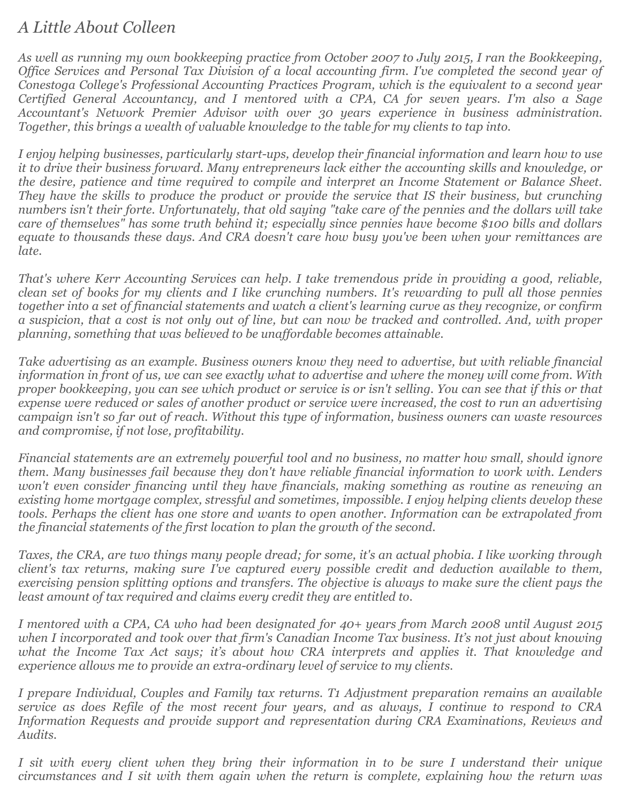## *A Little About Colleen*

*As well as running my own bookkeeping practice from October 2007 to July 2015, I ran the Bookkeeping, Office Services and Personal Tax Division of a local accounting firm. I've completed the second year of Conestoga College's Professional Accounting Practices Program, which is the equivalent to a second year Certified General Accountancy, and I mentored with a CPA, CA for seven years. I'm also a Sage Accountant's Network Premier Advisor with over 30 years experience in business administration. Together, this brings a wealth of valuable knowledge to the table for my clients to tap into.* 

*I enjoy helping businesses, particularly start-ups, develop their financial information and learn how to use it to drive their business forward. Many entrepreneurs lack either the accounting skills and knowledge, or the desire, patience and time required to compile and interpret an Income Statement or Balance Sheet. They have the skills to produce the product or provide the service that IS their business, but crunching numbers isn't their forte. Unfortunately, that old saying "take care of the pennies and the dollars will take care of themselves" has some truth behind it; especially since pennies have become \$100 bills and dollars equate to thousands these days. And CRA doesn't care how busy you've been when your remittances are late.* 

*That's where Kerr Accounting Services can help. I take tremendous pride in providing a good, reliable, clean set of books for my clients and I like crunching numbers. It's rewarding to pull all those pennies together into a set of financial statements and watch a client's learning curve as they recognize, or confirm a suspicion, that a cost is not only out of line, but can now be tracked and controlled. And, with proper planning, something that was believed to be unaffordable becomes attainable.* 

*Take advertising as an example. Business owners know they need to advertise, but with reliable financial information in front of us, we can see exactly what to advertise and where the money will come from. With proper bookkeeping, you can see which product or service is or isn't selling. You can see that if this or that expense were reduced or sales of another product or service were increased, the cost to run an advertising campaign isn't so far out of reach. Without this type of information, business owners can waste resources and compromise, if not lose, profitability.* 

*Financial statements are an extremely powerful tool and no business, no matter how small, should ignore them. Many businesses fail because they don't have reliable financial information to work with. Lenders won't even consider financing until they have financials, making something as routine as renewing an existing home mortgage complex, stressful and sometimes, impossible. I enjoy helping clients develop these tools. Perhaps the client has one store and wants to open another. Information can be extrapolated from the financial statements of the first location to plan the growth of the second.* 

*Taxes, the CRA, are two things many people dread; for some, it's an actual phobia. I like working through client's tax returns, making sure I've captured every possible credit and deduction available to them, exercising pension splitting options and transfers. The objective is always to make sure the client pays the least amount of tax required and claims every credit they are entitled to.* 

*I mentored with a CPA, CA who had been designated for 40+ years from March 2008 until August 2015 when I incorporated and took over that firm's Canadian Income Tax business. It's not just about knowing what the Income Tax Act says; it's about how CRA interprets and applies it. That knowledge and experience allows me to provide an extra-ordinary level of service to my clients.* 

*I prepare Individual, Couples and Family tax returns. T1 Adjustment preparation remains an available service as does Refile of the most recent four years, and as always, I continue to respond to CRA Information Requests and provide support and representation during CRA Examinations, Reviews and Audits.* 

*I sit with every client when they bring their information in to be sure I understand their unique circumstances and I sit with them again when the return is complete, explaining how the return was*